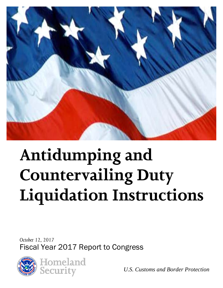

# **Antidumping and Countervailing Duty Liquidation Instructions**

*October 12, 2017* Fiscal Year 2017 Report to Congress



*U.S. Customs and Border Protection*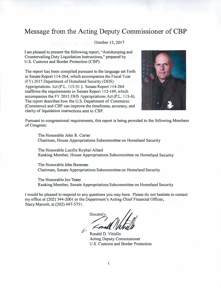#### **Message from the Acting Deputy Commissioner of CBP**

October 12, 2017

I am pleased to present the following report, "Antidumping and Countervailing Duty Liquidation Instructions," prepared by U.S. Customs and Border Protection (CBP).

The report has been compiled pursuant to the language set forth in Senate Report 114-264, which accompanies the Fiscal Year (FY) 2017 Department of Homeland Security (DHS) Appropriations Act (P.L. 115-31 ). Senate Report 114-264 reaffirms the requirements in Senate Report 112-169, which accompanies the FY 2013 DHS Appropriations Act (P.L. 113-6). The report describes how the U.S. Department of Commerce (Commerce) and CBP can improve the timeliness, accuracy, and clarity of liquidation instructions sent to CBP.



Pursuant to congressional requirements, this report is being provided to the following Members of Congress:

The Honorable John R. Carter Chairman, House Appropriations Subcommittee on Homeland Security

The Honorable Lucille Roybal-Allard Ranking Member, House Appropriations Subcommittee on Homeland Security

The Honorable John Boozman Chairman, Senate Appropriations Subcommittee on Homeland Security

The Honorable Jon Tester Ranking Member, Senate Appropriations Subcommittee on Homeland Security

I would be pleased to respond to any questions you may have. Please do not hesitate to contact my office at (202) 344-2001 or the Department's Acting Chief Financial Officer, Stacy Marcott, at (202) 447-5751.

Sincerely,<br> *<u>Engle Whitello</u>* 

Acting Deputy Commissioner U.S. Customs and Border Protection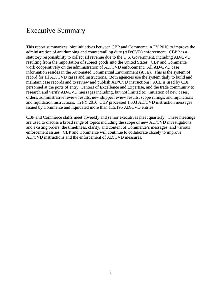#### Executive Summary

This report summarizes joint initiatives between CBP and Commerce in FY 2016 to improve the administration of antidumping and countervailing duty (AD/CVD) enforcement. CBP has a statutory responsibility to collect all revenue due to the U.S. Government, including AD/CVD resulting from the importation of subject goods into the United States. CBP and Commerce work cooperatively on the administration of AD/CVD enforcement. All AD/CVD case information resides in the Automated Commercial Environment (ACE). This is the system of record for all AD/CVD cases and instructions. Both agencies use the system daily to build and maintain case records and to review and publish AD/CVD instructions. ACE is used by CBP personnel at the ports of entry, Centers of Excellence and Expertise, and the trade community to research and verify AD/CVD messages including, but not limited to: initiation of new cases, orders, administrative review results, new shipper review results, scope rulings, and injunctions and liquidation instructions. In FY 2016, CBP processed 1,603 AD/CVD instruction messages issued by Commerce and liquidated more than 115,195 AD/CVD entries.

CBP and Commerce staffs meet biweekly and senior executives meet quarterly. These meetings are used to discuss a broad range of topics including the scope of new AD/CVD investigations and existing orders; the timeliness, clarity, and content of Commerce's messages; and various enforcement issues. CBP and Commerce will continue to collaborate closely to improve AD/CVD instructions and the enforcement of AD/CVD measures.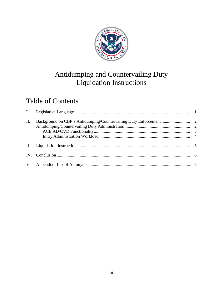

## Antidumping and Countervailing Duty Liquidation Instructions

## Table of Contents

| II. |  |
|-----|--|
|     |  |
|     |  |
|     |  |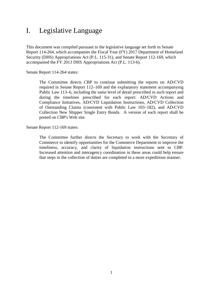### <span id="page-4-0"></span>I. Legislative Language

This document was compiled pursuant to the legislative language set forth in Senate Report 114-264, which accompanies the Fiscal Year (FY) 2017 Department of Homeland Security (DHS) Appropriations Act (P.L. 115-31), and Senate Report 112-169, which accompanied the FY 2013 DHS Appropriations Act (P.L. 113-6).

Senate Report 114-264 states:

The Committee directs CBP to continue submitting the reports on AD/CVD required in Senate Report 112–169 and the explanatory statement accompanying Public Law 113–6, including the same level of detail prescribed in such report and during the timelines prescribed for each report: AD/CVD Actions and Compliance Initiatives, AD/CVD Liquidation Instructions, AD/CVD Collection of Outstanding Claims (consistent with Public Law 103–182), and AD/CVD Collection New Shipper Single Entry Bonds. A version of each report shall be posted on CBP's Web site.

Senate Report 112-169 states:

The Committee further directs the Secretary to work with the Secretary of Commerce to identify opportunities for the Commerce Department to improve the timeliness, accuracy, and clarity of liquidation instructions sent to CBP. Increased attention and interagency coordination in these areas could help ensure that steps in the collection of duties are completed in a more expeditious manner.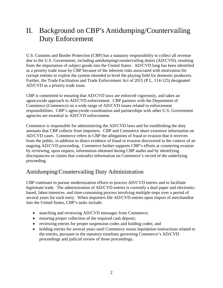## <span id="page-5-0"></span>II. Background on CBP's Antidumping/Countervailing Duty Enforcement

U.S. Customs and Border Protection (CBP) has a statutory responsibility to collect all revenue due to the U.S. Government, including antidumping/countervailing duties (AD/CVD), resulting from the importation of subject goods into the United States. AD/CVD long has been identified as a priority trade issue by CBP because of the inherent risks associated with motivation for corrupt entities to exploit the system intended to level the playing field for domestic producers. Further, the Trade Facilitation and Trade Enforcement Act of 2015 (P.L. 114-125) designated AD/CVD as a priority trade issue.

CBP is committed to ensuring that AD/CVD laws are enforced vigorously, and takes an agencywide approach to AD/CVD enforcement. CBP partners with the Department of Commerce (Commerce) on a wide range of AD/CVD issues related to enforcement responsibilities. CBP's agencywide coordination and partnerships with other U.S. Government agencies are essential to AD/CVD enforcement.

Commerce is responsible for administering the AD/CVD laws and for establishing the duty amounts that CBP collects from importers. CBP and Commerce share extensive information on AD/CVD cases. Commerce refers to CBP the allegations of fraud or evasion that it receives from the public, in addition to direct evidence of fraud or evasion discovered in the context of an ongoing AD/CVD proceeding. Commerce further supports CBP's efforts at countering evasion by reviewing, upon request, information obtained during CBP audits and by identifying discrepancies or claims that contradict information on Commerce's record of the underlying proceeding.

#### <span id="page-5-1"></span>Antidumping/Countervailing Duty Administration

CBP continues to pursue modernization efforts to process AD/CVD entries and to facilitate legitimate trade. The administration of AD/CVD entries is currently a dual paper and electronicbased, labor-intensive, and time-consuming process involving multiple steps over a period of several years for each entry. When importers file AD/CVD entries upon import of merchandise into the United States, CBP's tasks include:

- searching and reviewing AD/CVD messages from Commerce;
- ensuring proper collection of the required cash deposit;
- reviewing entries for proper suspension codes and holding codes; and
- holding entries for several years until Commerce issues liquidation instructions related to the entries, pursuant to the statutory timelines governing Commerce's AD/CVD proceedings and judicial review of those proceedings.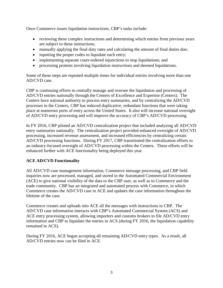Once Commerce issues liquidation instructions, CBP's tasks include:

- reviewing these complex instructions and determining which entries from previous years are subject to these instructions;
- manually applying the final duty rates and calculating the amount of final duties due;
- inputting the proper codes to liquidate each entry;
- implementing separate court-ordered injunctions to stop liquidations; and
- processing protests involving liquidation instructions and deemed liquidations.

Some of these steps are repeated multiple times for individual entries involving more than one AD/CVD case.

CBP is continuing efforts to centrally manage and oversee the liquidation and processing of AD/CVD entries nationally through the Centers of Excellence and Expertise (Centers). The Centers have national authority to process entry summaries, and by centralizing the AD/CVD processes in the Centers, CBP has reduced duplicative, redundant functions that were taking place at numerous ports of entry across the United States. It also will increase national oversight of AD/CVD entry processing and will improve the accuracy of CBP's AD/CVD processing.

In FY 2016, CBP piloted an AD/CVD centralization project that included analyzing all AD/CVD entry summaries nationally. The centralization project provided enhanced oversight of AD/CVD processing, increased revenue assessment, and increased efficiencies by centralizing certain AD/CVD processing functions. During FY 2017, CBP transitioned the centralization efforts to an industry-focused oversight of AD/CVD processing within the Centers. These efforts will be enhanced further with ACE functionality being deployed this year.

#### <span id="page-6-0"></span>**ACE AD/CVD Functionality**

All AD/CVD case management information, Commerce message processing, and CBP field inquiries now are processed, managed, and stored in the Automated Commercial Environment (ACE) to give national visibility of the data to the CBP user, as well as to Commerce and the trade community. CBP has an integrated and automated process with Commerce, in which Commerce creates the AD/CVD case in ACE and updates the case information throughout the lifetime of the case.

Commerce creates and uploads into ACE all the messages with instructions to CBP. The AD/CVD case information interacts with CBP's Automated Commercial System (ACS) and ACE entry processing system, allowing importers and customs brokers to file AD/CVD entry information and CBP to liquidate the entries in ACS (during FY 2016, the liquidation capability remained in ACS).

During FY 2016, ACE began accepting all remaining AD/CVD entry types. As a result, all AD/CVD entries now can be filed in ACE.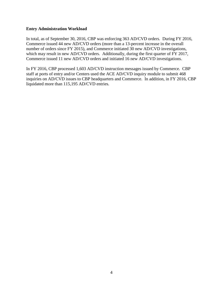#### <span id="page-7-0"></span>**Entry Administration Workload**

In total, as of September 30, 2016, CBP was enforcing 363 AD/CVD orders. During FY 2016, Commerce issued 44 new AD/CVD orders (more than a 13-percent increase in the overall number of orders since FY 2015), and Commerce initiated 30 new AD/CVD investigations, which may result in new AD/CVD orders. Additionally, during the first quarter of FY 2017, Commerce issued 11 new AD/CVD orders and initiated 16 new AD/CVD investigations.

In FY 2016, CBP processed 1,603 AD/CVD instruction messages issued by Commerce. CBP staff at ports of entry and/or Centers used the ACE AD/CVD inquiry module to submit 468 inquiries on AD/CVD issues to CBP headquarters and Commerce. In addition, in FY 2016, CBP liquidated more than 115,195 AD/CVD entries.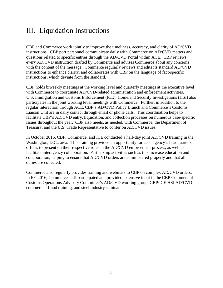## <span id="page-8-0"></span>III. Liquidation Instructions

CBP and Commerce work jointly to improve the timeliness, accuracy, and clarity of AD/CVD instructions. CBP port personnel communicate daily with Commerce on AD/CVD matters and questions related to specific entries through the AD/CVD Portal within ACE. CBP reviews every AD/CVD instruction drafted by Commerce and advises Commerce about any concerns with the content of the message. Commerce regularly reviews and edits its standard AD/CVD instructions to enhance clarity, and collaborates with CBP on the language of fact-specific instructions, which deviate from the standard.

CBP holds biweekly meetings at the working level and quarterly meetings at the executive level with Commerce to coordinate AD/CVD-related administration and enforcement activities. U.S. Immigration and Customs Enforcement (ICE), Homeland Security Investigations (HSI) also participates in the joint working level meetings with Commerce. Further, in addition to the regular interaction through ACE, CBP's AD/CVD Policy Branch and Commerce's Customs Liaison Unit are in daily contact through email or phone calls. This coordination helps to facilitate CBP's AD/CVD entry, liquidation, and collection processes on numerous case-specific issues throughout the year. CBP also meets, as needed, with Commerce, the Department of Treasury, and the U.S. Trade Representative to confer on AD/CVD issues.

In October 2016, CBP, Commerce, and ICE conducted a half-day joint AD/CVD training in the Washington, D.C., area. This training provided an opportunity for each agency's headquarters offices to present on their respective roles in the AD/CVD enforcement process, as well as facilitate interagency collaboration. Partnership activities such as this increase education and collaboration, helping to ensure that AD/CVD orders are administered properly and that all duties are collected.

Commerce also regularly provides training and webinars to CBP on complex AD/CVD orders. In FY 2016, Commerce staff participated and provided extensive input in the CBP Commercial Customs Operations Advisory Committee's AD/CVD working group, CBP/ICE HSI AD/CVD commercial fraud training, and steel industry seminars.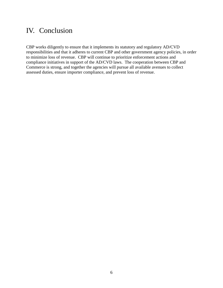#### <span id="page-9-0"></span>IV. Conclusion

CBP works diligently to ensure that it implements its statutory and regulatory AD/CVD responsibilities and that it adheres to current CBP and other government agency policies, in order to minimize loss of revenue. CBP will continue to prioritize enforcement actions and compliance initiatives in support of the AD/CVD laws. The cooperation between CBP and Commerce is strong, and together the agencies will pursue all available avenues to collect assessed duties, ensure importer compliance, and prevent loss of revenue.